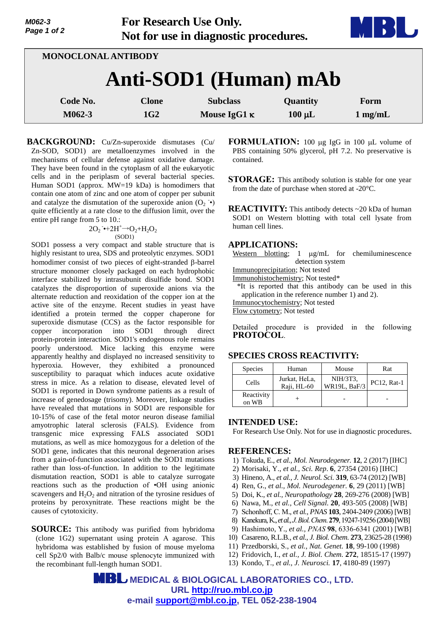| M062-3      |  |  |  |  |  |  |
|-------------|--|--|--|--|--|--|
| Page 1 of 2 |  |  |  |  |  |  |

**For Research Use Only. Not for use in diagnostic procedures.**



| <b>MONOCLONAL ANTIBODY</b> |                 |                     |             |                   |  |
|----------------------------|-----------------|---------------------|-------------|-------------------|--|
| Anti-SOD1 (Human) mAb      |                 |                     |             |                   |  |
| Code No.                   | <b>Clone</b>    | <b>Subclass</b>     | Quantity    | Form              |  |
| M062-3                     | 1G <sub>2</sub> | Mouse IgG1 $\kappa$ | $100 \mu L$ | $1 \text{ mg/mL}$ |  |

**BACKGROUND:** Cu/Zn-superoxide dismutases (Cu/ Zn-SOD, SOD1) are metalloenzymes involved in the mechanisms of cellular defense against oxidative damage. They have been found in the cytoplasm of all the eukaryotic cells and in the periplasm of several bacterial species. Human SOD1 (approx. MW=19 kDa) is homodimers that contain one atom of zinc and one atom of copper per subunit and catalyze the dismutation of the superoxide anion  $(O_2 \rightarrow)$ quite efficiently at a rate close to the diffusion limit, over the entire pH range from 5 to 10.:

$$
2O_2 \rightarrow 2H^+ \rightarrow O_2 + H_2O_2
$$
\n
$$
(SOD1)
$$

SOD1 possess a very compact and stable structure that is highly resistant to urea, SDS and proteolytic enzymes. SOD1 homodimer consist of two pieces of eight-stranded  $\beta$ -barrel structure monomer closely packaged on each hydrophobic interface stabilized by intrasubunit disulfide bond. SOD1 catalyzes the disproportion of superoxide anions via the alternate reduction and reoxidation of the copper ion at the active site of the enzyme. Recent studies in yeast have identified a protein termed the copper chaperone for superoxide dismutase (CCS) as the factor responsible for copper incorporation into SOD1 through direct protein-protein interaction. SOD1's endogenous role remains poorly understood. Mice lacking this enzyme were apparently healthy and displayed no increased sensitivity to hyperoxia. However, they exhibited a pronounced susceptibility to paraquat which induces acute oxidative stress in mice. As a relation to disease, elevated level of SOD1 is reported in Down syndrome patients as a result of increase of genedosage (trisomy). Moreover, linkage studies have revealed that mutations in SOD1 are responsible for 10-15% of case of the fetal motor neuron disease familial amyotrophic lateral sclerosis (FALS). Evidence from transgenic mice expressing FALS associated SOD1 mutations, as well as mice homozygous for a deletion of the SOD1 gene, indicates that this neuronal degeneration arises from a gain-of-function associated with the SOD1 mutations rather than loss-of-function. In addition to the legitimate dismutation reaction, SOD1 is able to catalyze surrogate reactions such as the production of •OH using anionic scavengers and  $H_2O_2$  and nitration of the tyrosine residues of proteins by peroxynitrate. These reactions might be the causes of cytotoxicity.

**SOURCE:** This antibody was purified from hybridoma (clone 1G2) supernatant using protein A agarose. This hybridoma was established by fusion of mouse myeloma cell Sp2/0 with Balb/c mouse splenocyte immunized with the recombinant full-length human SOD1.

**FORMULATION:** 100 µg IgG in 100 µL volume of PBS containing 50% glycerol, pH 7.2. No preservative is contained.

**STORAGE:** This antibody solution is stable for one year from the date of purchase when stored at -20°C.

**REACTIVITY:** This antibody detects ~20 kDa of human SOD1 on Western blotting with total cell lysate from human cell lines.

### **APPLICATIONS:**

Western blotting;  $1 \mu g/mL$  for chemiluminescence detection system

Immunoprecipitation; Not tested

Immunohistochemistry; Not tested\*

\*It is reported that this antibody can be used in this application in the reference number 1) and 2).

Immunocytochemistry; Not tested

Flow cytometry; Not tested

Detailed procedure is provided in the following **PROTOCOL**.

## **SPECIES CROSS REACTIVITY:**

| <b>Species</b>      | Human                        | Mouse                           | Rat         |
|---------------------|------------------------------|---------------------------------|-------------|
| Cells               | Jurkat, HeLa,<br>Raji, HL-60 | NIH/3T3,<br><b>WR19L, BaF/3</b> | PC12, Rat-1 |
| Reactivity<br>on WB |                              |                                 |             |

### **INTENDED USE:**

For Research Use Only. Not for use in diagnostic procedures.

#### **REFERENCES:**

- 1) Tokuda, E., *et al., Mol. Neurodegener.* **12**, 2 (2017) [IHC]
- 2) Morisaki, Y., *et al., Sci. Rep*. **6**, 27354 (2016) [IHC]
- 3) Hineno, A., *et al., J. Neurol. Sci.* **319**, 63-74 (2012) [WB]
- 4) Ren, G., *et al., Mol. Neurodegener.* **6**, 29 (2011) [WB]
- 5) Doi, K., *et al., Neuropathology* **28**, 269-276 (2008) [WB]
- 6) Nawa, M., *et al., Cell Signal.* **20**, 493-505 (2008) [WB]
- 7) Schonhoff, C. M., *et al., PNAS* **103**, 2404-2409 (2006) [WB]
- 8) Kanekura, K., *et al., J*. *Biol*. *Chem*. **279**, 19247-19256(2004)[WB]
- 9) Hashimoto, Y., *et al., PNAS* **98**, 6336-6341 (2001) [WB]
- 10) Casareno, R.L.B., *et al., J. Biol. Chem.* **273**, 23625-28 (1998)
- 11) Przedborski, S., *et al., Nat. Genet.* **18**, 99-100 (1998)
- 12) Fridovich, I., *et al., J. Biol. Chem.* **272**, 18515-17 (1997)
- 13) Kondo, T., *et al., J. Neurosci.* **17**, 4180-89 (1997)

 **MEDICAL & BIOLOGICAL LABORATORIES CO., LTD. URL [http://ruo.mbl.co.jp](http://ruo.mbl.co.jp/) e-mail [support@mbl.co.jp,](support@mbl.co.jp) TEL 052-238-1904**